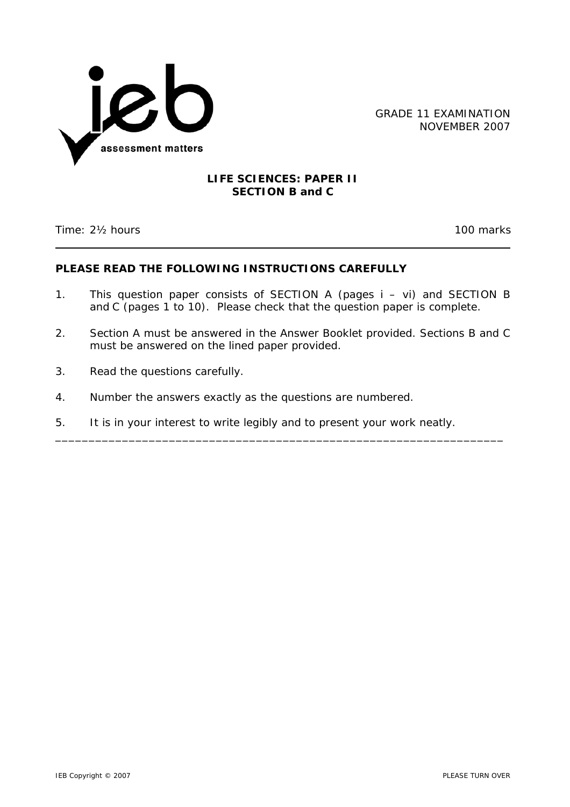

GRADE 11 EXAMINATION NOVEMBER 2007

## **LIFE SCIENCES: PAPER II SECTION B and C**

Time: 2½ hours 100 marks

# **PLEASE READ THE FOLLOWING INSTRUCTIONS CAREFULLY**

- 1. This question paper consists of SECTION A (pages i vi) and SECTION B and C (pages 1 to 10). Please check that the question paper is complete.
- 2. Section A must be answered in the Answer Booklet provided. Sections B and C must be answered on the lined paper provided.

\_\_\_\_\_\_\_\_\_\_\_\_\_\_\_\_\_\_\_\_\_\_\_\_\_\_\_\_\_\_\_\_\_\_\_\_\_\_\_\_\_\_\_\_\_\_\_\_\_\_\_\_\_\_\_\_\_\_\_\_\_\_\_\_\_\_\_

- 3. Read the questions carefully.
- 4. Number the answers exactly as the questions are numbered.
- 5. It is in your interest to write legibly and to present your work neatly.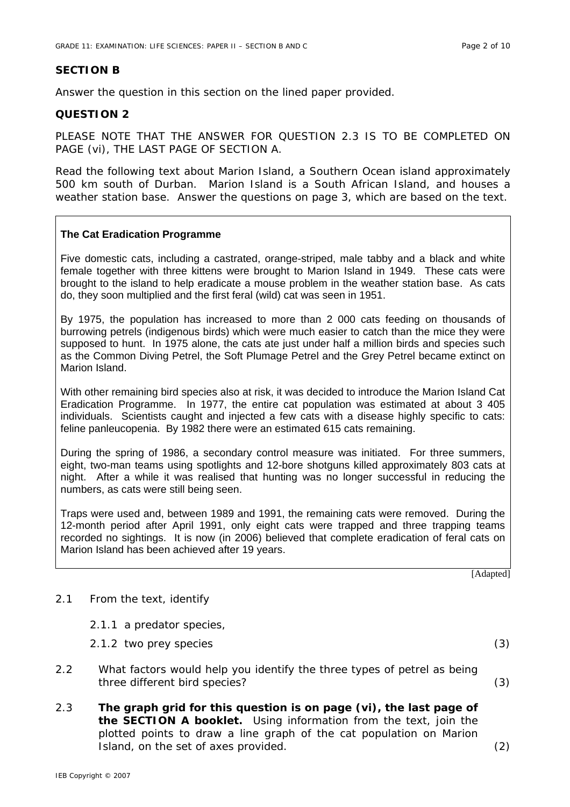## **SECTION B**

Answer the question in this section on the lined paper provided.

## **QUESTION 2**

PLEASE NOTE THAT THE ANSWER FOR QUESTION 2.3 IS TO BE COMPLETED ON PAGE (vi), THE LAST PAGE OF SECTION A.

Read the following text about Marion Island, a Southern Ocean island approximately 500 km south of Durban. Marion Island is a South African Island, and houses a weather station base. Answer the questions on page 3, which are based on the text.

### **The Cat Eradication Programme**

Five domestic cats, including a castrated, orange-striped, male tabby and a black and white female together with three kittens were brought to Marion Island in 1949. These cats were brought to the island to help eradicate a mouse problem in the weather station base. As cats do, they soon multiplied and the first feral (wild) cat was seen in 1951.

By 1975, the population has increased to more than 2 000 cats feeding on thousands of burrowing petrels (indigenous birds) which were much easier to catch than the mice they were supposed to hunt. In 1975 alone, the cats ate just under half a million birds and species such as the Common Diving Petrel, the Soft Plumage Petrel and the Grey Petrel became extinct on Marion Island.

With other remaining bird species also at risk, it was decided to introduce the Marion Island Cat Eradication Programme. In 1977, the entire cat population was estimated at about 3 405 individuals. Scientists caught and injected a few cats with a disease highly specific to cats: feline panleucopenia. By 1982 there were an estimated 615 cats remaining.

During the spring of 1986, a secondary control measure was initiated. For three summers, eight, two-man teams using spotlights and 12-bore shotguns killed approximately 803 cats at night. After a while it was realised that hunting was no longer successful in reducing the numbers, as cats were still being seen.

Traps were used and, between 1989 and 1991, the remaining cats were removed. During the 12-month period after April 1991, only eight cats were trapped and three trapping teams recorded no sightings. It is now (in 2006) believed that complete eradication of feral cats on Marion Island has been achieved after 19 years.

[Adapted]

#### 2.1 From the text, identify

- 2.1.1 a predator species,
- 2.1.2 two prey species (3)
- 2.2 What factors would help you identify the three types of petrel as being three different bird species? (3)
- 2.3 **The graph grid for this question is on page (vi), the last page of the SECTION A booklet.** Using information from the text, join the plotted points to draw a line graph of the cat population on Marion Island, on the set of axes provided. (2)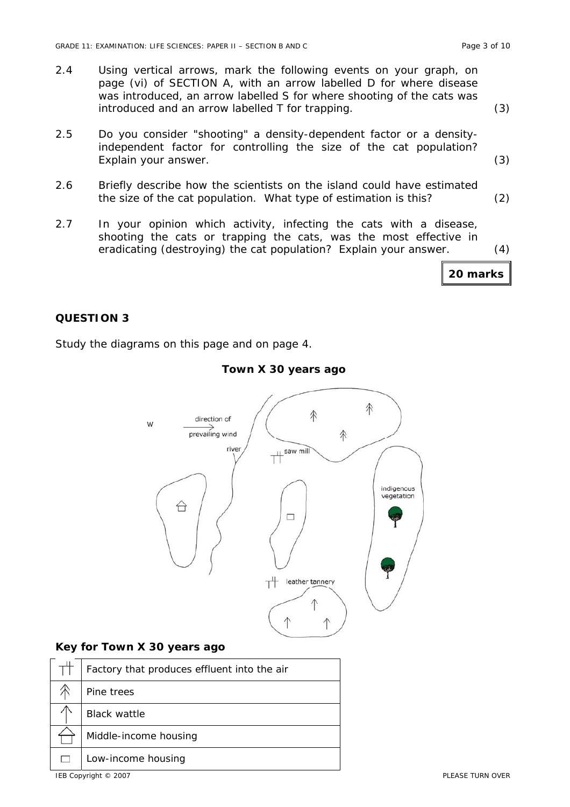- 2.4 Using vertical arrows, mark the following events on your graph, on page (vi) of SECTION A, with an arrow labelled D for where disease was introduced, an arrow labelled S for where shooting of the cats was introduced and an arrow labelled T for trapping. (3)
- 2.5 Do you consider "shooting" a density-dependent factor or a densityindependent factor for controlling the size of the cat population? Explain your answer. (3)
- 2.6 Briefly describe how the scientists on the island could have estimated the size of the cat population. What type of estimation is this? (2)
- 2.7 In your opinion which activity, infecting the cats with a disease, shooting the cats or trapping the cats, was the most effective in eradicating (destroying) the cat population? Explain your answer. (4)

### **QUESTION 3**

Study the diagrams on this page and on page 4.



### **Town X 30 years ago**

### **Key for Town X 30 years ago**

| Factory that produces effluent into the air |
|---------------------------------------------|
| Pine trees                                  |
| <b>Black wattle</b>                         |
| Middle-income housing                       |
| Low-income housing                          |

**20 marks**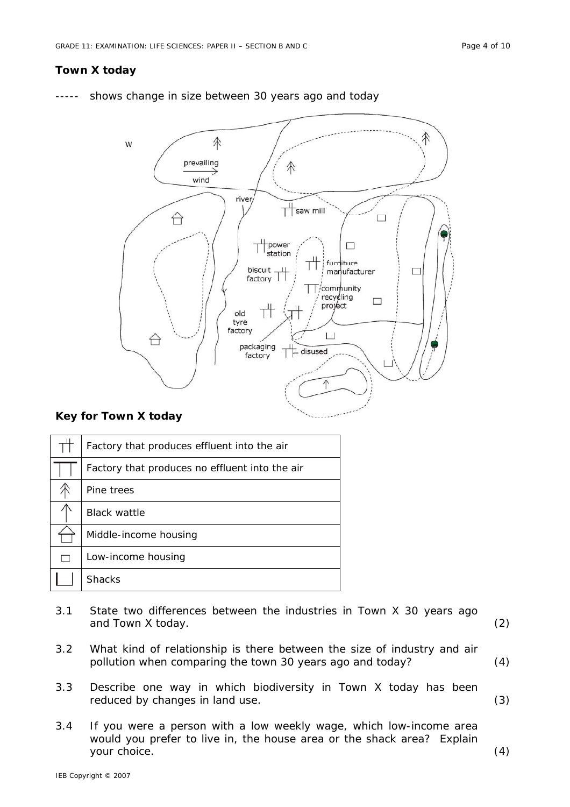## **Town X today**

shows change in size between 30 years ago and today



#### **Key for Town X today**

|   | Factory that produces effluent into the air    |
|---|------------------------------------------------|
|   | Factory that produces no effluent into the air |
|   | Pine trees                                     |
|   | <b>Black wattle</b>                            |
|   | Middle-income housing                          |
| П | Low-income housing                             |
|   | <b>Shacks</b>                                  |

- 3.1 State two differences between the industries in Town X 30 years ago and Town X today. (2)
- 3.2 What kind of relationship is there between the size of industry and air pollution when comparing the town 30 years ago and today? (4)
- 3.3 Describe one way in which biodiversity in Town X today has been reduced by changes in land use. (3)
- 3.4 If you were a person with a low weekly wage, which low-income area would you prefer to live in, the house area or the shack area? Explain your choice. (4)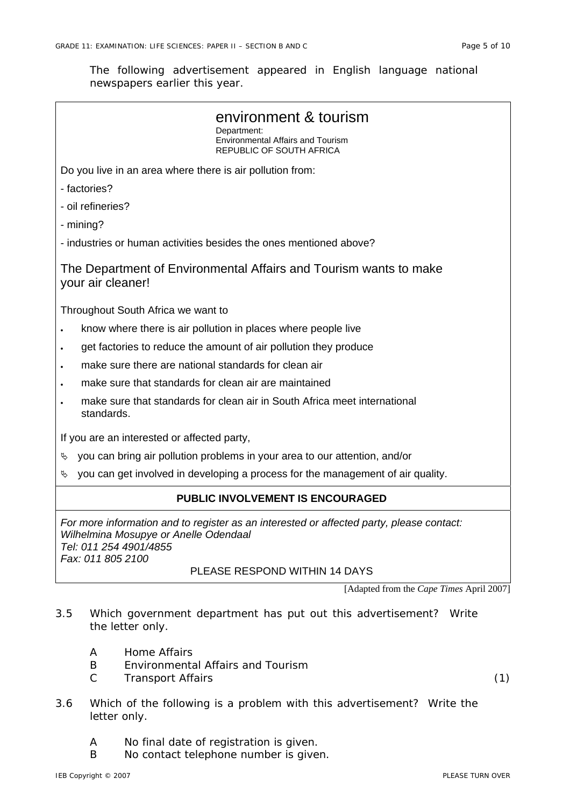The following advertisement appeared in English language national newspapers earlier this year.

| environment & tourism<br>Department:<br><b>Environmental Affairs and Tourism</b><br>REPUBLIC OF SOUTH AFRICA                                                                     |  |  |  |  |
|----------------------------------------------------------------------------------------------------------------------------------------------------------------------------------|--|--|--|--|
|                                                                                                                                                                                  |  |  |  |  |
| Do you live in an area where there is air pollution from:                                                                                                                        |  |  |  |  |
| - factories?                                                                                                                                                                     |  |  |  |  |
| - oil refineries?                                                                                                                                                                |  |  |  |  |
| - mining?                                                                                                                                                                        |  |  |  |  |
| - industries or human activities besides the ones mentioned above?                                                                                                               |  |  |  |  |
| The Department of Environmental Affairs and Tourism wants to make<br>your air cleaner!                                                                                           |  |  |  |  |
| Throughout South Africa we want to                                                                                                                                               |  |  |  |  |
| know where there is air pollution in places where people live<br>$\bullet$                                                                                                       |  |  |  |  |
| get factories to reduce the amount of air pollution they produce<br>$\bullet$                                                                                                    |  |  |  |  |
| make sure there are national standards for clean air                                                                                                                             |  |  |  |  |
| make sure that standards for clean air are maintained                                                                                                                            |  |  |  |  |
| make sure that standards for clean air in South Africa meet international<br>standards.                                                                                          |  |  |  |  |
| If you are an interested or affected party,                                                                                                                                      |  |  |  |  |
| you can bring air pollution problems in your area to our attention, and/or<br>A,                                                                                                 |  |  |  |  |
| you can get involved in developing a process for the management of air quality.<br>Ą.                                                                                            |  |  |  |  |
| PUBLIC INVOLVEMENT IS ENCOURAGED                                                                                                                                                 |  |  |  |  |
| For more information and to register as an interested or affected party, please contact:<br>Wilhelmina Mosupye or Anelle Odendaal<br>Tel: 011 254 4901/4855<br>Fax: 011 805 2100 |  |  |  |  |
| PLEASE RESPOND WITHIN 14 DAYS                                                                                                                                                    |  |  |  |  |

[Adapted from the *Cape Times* April 2007]

- 3.5 Which government department has put out this advertisement? Write the letter only.
	- A Home Affairs
	- B Environmental Affairs and Tourism
	- C Transport Affairs (1)
- 3.6 Which of the following is a problem with this advertisement? Write the letter only.
	- A No final date of registration is given.
	- B No contact telephone number is given.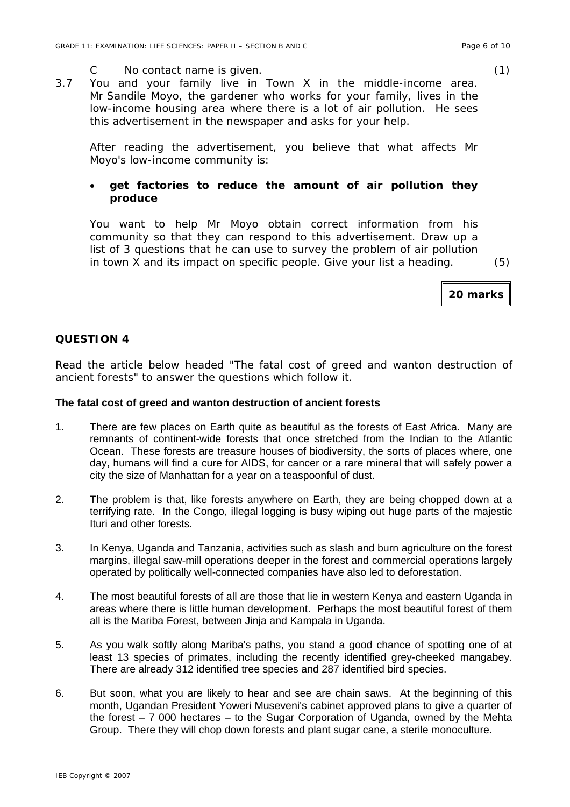- C No contact name is given. (1)
- 3.7 You and your family live in Town X in the middle-income area. Mr Sandile Moyo, the gardener who works for your family, lives in the low-income housing area where there is a lot of air pollution. He sees this advertisement in the newspaper and asks for your help.

After reading the advertisement, you believe that what affects Mr Moyo's low-income community is:

# • **get factories to reduce the amount of air pollution they produce**

You want to help Mr Moyo obtain correct information from his community so that they can respond to this advertisement. Draw up a list of 3 questions that he can use to survey the problem of air pollution in town X and its impact on specific people. Give your list a heading. (5)

**20 marks**

## **QUESTION 4**

Read the article below headed "The fatal cost of greed and wanton destruction of ancient forests" to answer the questions which follow it.

#### **The fatal cost of greed and wanton destruction of ancient forests**

- 1. There are few places on Earth quite as beautiful as the forests of East Africa. Many are remnants of continent-wide forests that once stretched from the Indian to the Atlantic Ocean. These forests are treasure houses of biodiversity, the sorts of places where, one day, humans will find a cure for AIDS, for cancer or a rare mineral that will safely power a city the size of Manhattan for a year on a teaspoonful of dust.
- 2. The problem is that, like forests anywhere on Earth, they are being chopped down at a terrifying rate. In the Congo, illegal logging is busy wiping out huge parts of the majestic Ituri and other forests.
- 3. In Kenya, Uganda and Tanzania, activities such as slash and burn agriculture on the forest margins, illegal saw-mill operations deeper in the forest and commercial operations largely operated by politically well-connected companies have also led to deforestation.
- 4. The most beautiful forests of all are those that lie in western Kenya and eastern Uganda in areas where there is little human development. Perhaps the most beautiful forest of them all is the Mariba Forest, between Jinja and Kampala in Uganda.
- 5. As you walk softly along Mariba's paths, you stand a good chance of spotting one of at least 13 species of primates, including the recently identified grey-cheeked mangabey. There are already 312 identified tree species and 287 identified bird species.
- 6. But soon, what you are likely to hear and see are chain saws. At the beginning of this month, Ugandan President Yoweri Museveni's cabinet approved plans to give a quarter of the forest – 7 000 hectares – to the Sugar Corporation of Uganda, owned by the Mehta Group. There they will chop down forests and plant sugar cane, a sterile monoculture.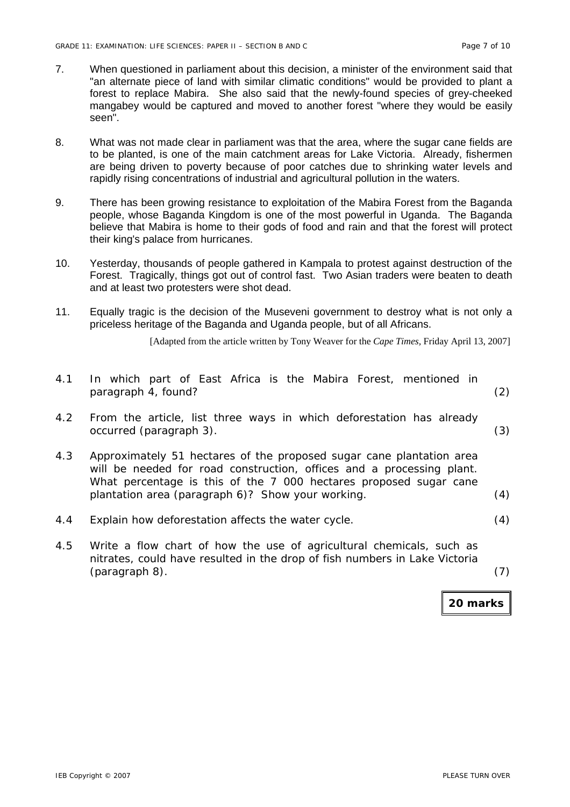- 7. When questioned in parliament about this decision, a minister of the environment said that "an alternate piece of land with similar climatic conditions" would be provided to plant a forest to replace Mabira. She also said that the newly-found species of grey-cheeked mangabey would be captured and moved to another forest "where they would be easily seen".
- 8. What was not made clear in parliament was that the area, where the sugar cane fields are to be planted, is one of the main catchment areas for Lake Victoria. Already, fishermen are being driven to poverty because of poor catches due to shrinking water levels and rapidly rising concentrations of industrial and agricultural pollution in the waters.
- 9. There has been growing resistance to exploitation of the Mabira Forest from the Baganda people, whose Baganda Kingdom is one of the most powerful in Uganda. The Baganda believe that Mabira is home to their gods of food and rain and that the forest will protect their king's palace from hurricanes.
- 10. Yesterday, thousands of people gathered in Kampala to protest against destruction of the Forest. Tragically, things got out of control fast. Two Asian traders were beaten to death and at least two protesters were shot dead.
- 11. Equally tragic is the decision of the Museveni government to destroy what is not only a priceless heritage of the Baganda and Uganda people, but of all Africans.

[Adapted from the article written by Tony Weaver for the *Cape Times,* Friday April 13, 2007]

| 4.1 | In which part of East Africa is the Mabira Forest, mentioned in<br>paragraph 4, found?                                                                                                                                                                                  | (2) |
|-----|-------------------------------------------------------------------------------------------------------------------------------------------------------------------------------------------------------------------------------------------------------------------------|-----|
| 4.2 | From the article, list three ways in which deforestation has already<br>occurred (paragraph 3).                                                                                                                                                                         | (3) |
| 4.3 | Approximately 51 hectares of the proposed sugar cane plantation area<br>will be needed for road construction, offices and a processing plant.<br>What percentage is this of the 7 000 hectares proposed sugar cane<br>plantation area (paragraph 6)? Show your working. | (4) |
| 4.4 | Explain how deforestation affects the water cycle.                                                                                                                                                                                                                      | (4) |
| 4.5 | Write a flow chart of how the use of agricultural chemicals, such as<br>nitrates, could have resulted in the drop of fish numbers in Lake Victoria<br>(paragraph 8).                                                                                                    |     |

**20 marks**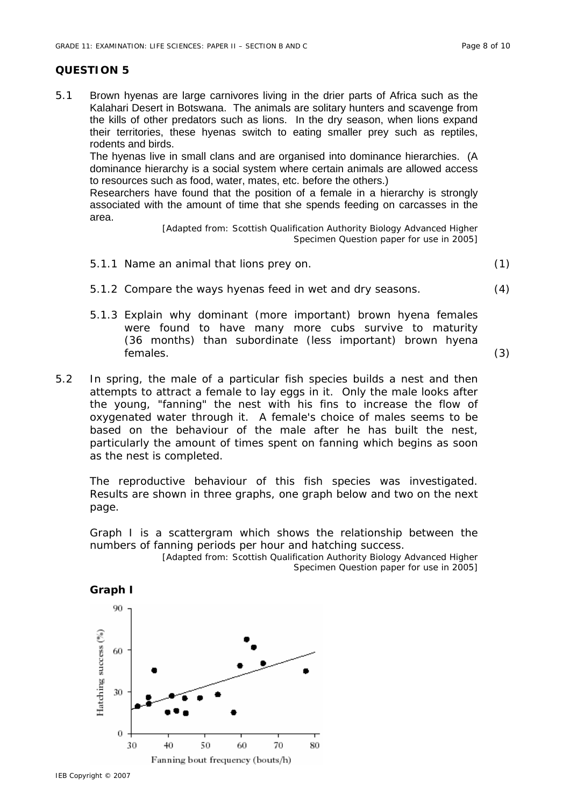## **QUESTION 5**

5.1 Brown hyenas are large carnivores living in the drier parts of Africa such as the Kalahari Desert in Botswana. The animals are solitary hunters and scavenge from the kills of other predators such as lions. In the dry season, when lions expand their territories, these hyenas switch to eating smaller prey such as reptiles, rodents and birds.

The hyenas live in small clans and are organised into dominance hierarchies. (A dominance hierarchy is a social system where certain animals are allowed access to resources such as food, water, mates, etc. before the others.)

Researchers have found that the position of a female in a hierarchy is strongly associated with the amount of time that she spends feeding on carcasses in the area.

> [Adapted from: Scottish Qualification Authority Biology Advanced Higher Specimen Question paper for use in 2005]

- 5.1.1 Name an animal that lions prey on. (1)
- 5.1.2 Compare the ways hyenas feed in wet and dry seasons. (4)
- 5.1.3 Explain why dominant (more important) brown hyena females were found to have many more cubs survive to maturity (36 months) than subordinate (less important) brown hyena females. (3)
- 5.2 In spring, the male of a particular fish species builds a nest and then attempts to attract a female to lay eggs in it. Only the male looks after the young, "fanning" the nest with his fins to increase the flow of oxygenated water through it. A female's choice of males seems to be based on the behaviour of the male after he has built the nest, particularly the amount of times spent on fanning which begins as soon as the nest is completed.

The reproductive behaviour of this fish species was investigated. Results are shown in three graphs, one graph below and two on the next page.

Graph I is a scattergram which shows the relationship between the numbers of fanning periods per hour and hatching success.

[Adapted from: Scottish Qualification Authority Biology Advanced Higher Specimen Question paper for use in 2005]

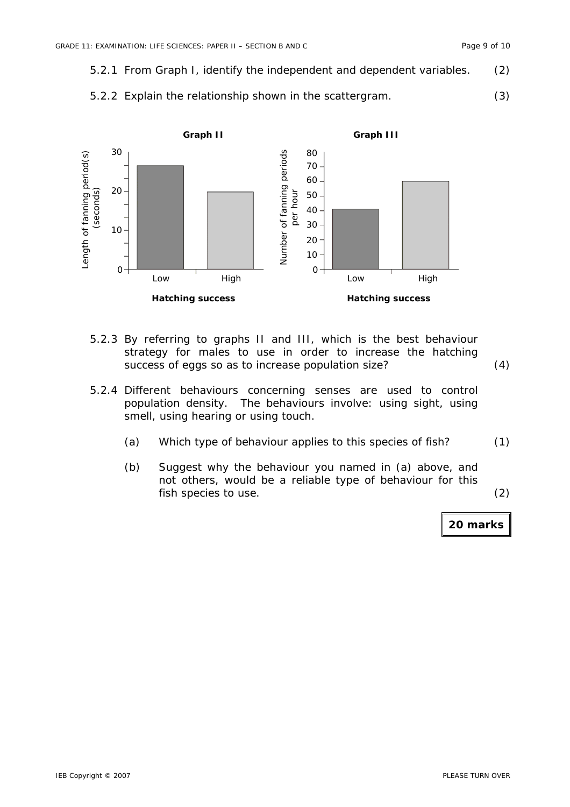- 5.2.1 From Graph I, identify the independent and dependent variables. (2)
	- 5.2.2 Explain the relationship shown in the scattergram. (3)



- 5.2.3 By referring to graphs II and III, which is the best behaviour strategy for males to use in order to increase the hatching success of eggs so as to increase population size? (4)
- 5.2.4 Different behaviours concerning senses are used to control population density. The behaviours involve: using sight, using smell, using hearing or using touch.
	- (a) Which type of behaviour applies to this species of fish? (1)
	- (b) Suggest why the behaviour you named in (a) above, and not others, would be a reliable type of behaviour for this fish species to use. (2)

**20 marks**